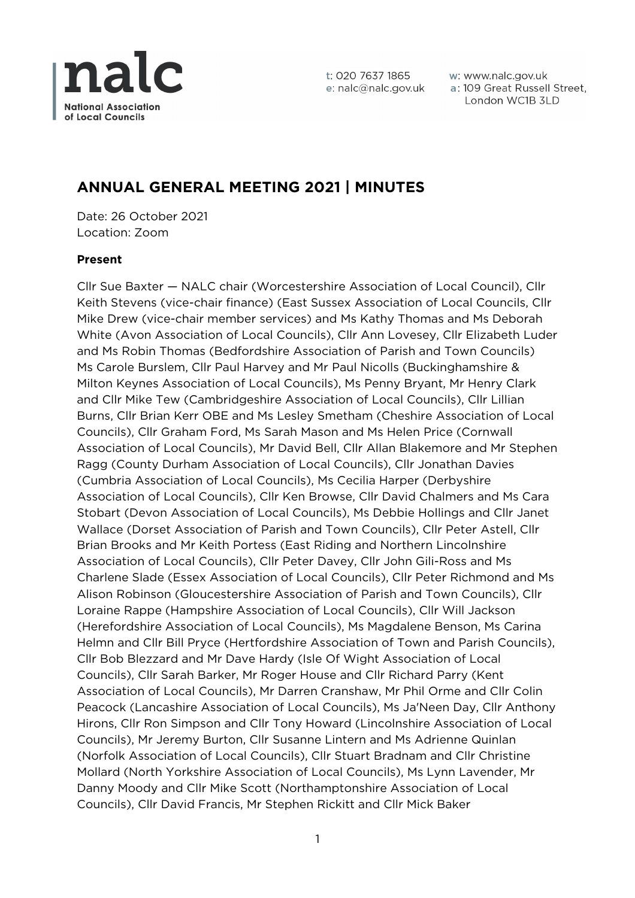

w: www.nalc.gov.uk a: 109 Great Russell Street, London WC1B 3LD

# **ANNUAL GENERAL MEETING 2021 | MINUTES**

Date: 26 October 2021 Location: Zoom

# **Present**

Cllr Sue Baxter — NALC chair (Worcestershire Association of Local Council), Cllr Keith Stevens (vice-chair finance) (East Sussex Association of Local Councils, Cllr Mike Drew (vice-chair member services) and Ms Kathy Thomas and Ms Deborah White (Avon Association of Local Councils), Cllr Ann Lovesey, Cllr Elizabeth Luder and Ms Robin Thomas (Bedfordshire Association of Parish and Town Councils) Ms Carole Burslem, Cllr Paul Harvey and Mr Paul Nicolls (Buckinghamshire & Milton Keynes Association of Local Councils), Ms Penny Bryant, Mr Henry Clark and Cllr Mike Tew (Cambridgeshire Association of Local Councils), Cllr Lillian Burns, Cllr Brian Kerr OBE and Ms Lesley Smetham (Cheshire Association of Local Councils), Cllr Graham Ford, Ms Sarah Mason and Ms Helen Price (Cornwall Association of Local Councils), Mr David Bell, Cllr Allan Blakemore and Mr Stephen Ragg (County Durham Association of Local Councils), Cllr Jonathan Davies (Cumbria Association of Local Councils), Ms Cecilia Harper (Derbyshire Association of Local Councils), Cllr Ken Browse, Cllr David Chalmers and Ms Cara Stobart (Devon Association of Local Councils), Ms Debbie Hollings and Cllr Janet Wallace (Dorset Association of Parish and Town Councils), Cllr Peter Astell, Cllr Brian Brooks and Mr Keith Portess (East Riding and Northern Lincolnshire Association of Local Councils), Cllr Peter Davey, Cllr John Gili-Ross and Ms Charlene Slade (Essex Association of Local Councils), Cllr Peter Richmond and Ms Alison Robinson (Gloucestershire Association of Parish and Town Councils), Cllr Loraine Rappe (Hampshire Association of Local Councils), Cllr Will Jackson (Herefordshire Association of Local Councils), Ms Magdalene Benson, Ms Carina Helmn and Cllr Bill Pryce (Hertfordshire Association of Town and Parish Councils), Cllr Bob Blezzard and Mr Dave Hardy (Isle Of Wight Association of Local Councils), Cllr Sarah Barker, Mr Roger House and Cllr Richard Parry (Kent Association of Local Councils), Mr Darren Cranshaw, Mr Phil Orme and Cllr Colin Peacock (Lancashire Association of Local Councils), Ms Ja'Neen Day, Cllr Anthony Hirons, Cllr Ron Simpson and Cllr Tony Howard (Lincolnshire Association of Local Councils), Mr Jeremy Burton, Cllr Susanne Lintern and Ms Adrienne Quinlan (Norfolk Association of Local Councils), Cllr Stuart Bradnam and Cllr Christine Mollard (North Yorkshire Association of Local Councils), Ms Lynn Lavender, Mr Danny Moody and Cllr Mike Scott (Northamptonshire Association of Local Councils), Cllr David Francis, Mr Stephen Rickitt and Cllr Mick Baker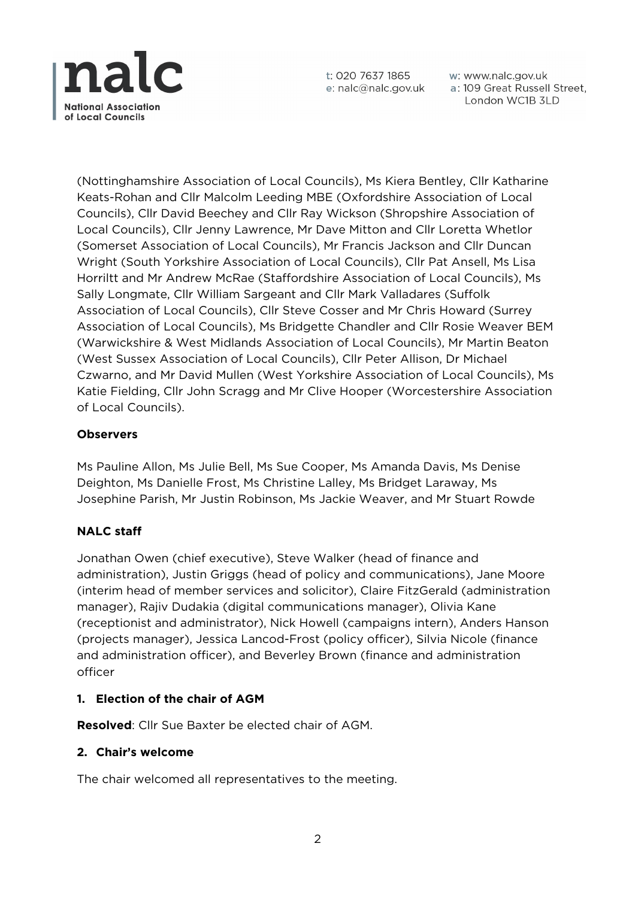

w: www.nalc.gov.uk a: 109 Great Russell Street, London WC1B 3LD

(Nottinghamshire Association of Local Councils), Ms Kiera Bentley, Cllr Katharine Keats-Rohan and Cllr Malcolm Leeding MBE (Oxfordshire Association of Local Councils), Cllr David Beechey and Cllr Ray Wickson (Shropshire Association of Local Councils), Cllr Jenny Lawrence, Mr Dave Mitton and Cllr Loretta Whetlor (Somerset Association of Local Councils), Mr Francis Jackson and Cllr Duncan Wright (South Yorkshire Association of Local Councils), Cllr Pat Ansell, Ms Lisa Horriltt and Mr Andrew McRae (Staffordshire Association of Local Councils), Ms Sally Longmate, Cllr William Sargeant and Cllr Mark Valladares (Suffolk Association of Local Councils), Cllr Steve Cosser and Mr Chris Howard (Surrey Association of Local Councils), Ms Bridgette Chandler and Cllr Rosie Weaver BEM (Warwickshire & West Midlands Association of Local Councils), Mr Martin Beaton (West Sussex Association of Local Councils), Cllr Peter Allison, Dr Michael Czwarno, and Mr David Mullen (West Yorkshire Association of Local Councils), Ms Katie Fielding, Cllr John Scragg and Mr Clive Hooper (Worcestershire Association of Local Councils).

# **Observers**

Ms Pauline Allon, Ms Julie Bell, Ms Sue Cooper, Ms Amanda Davis, Ms Denise Deighton, Ms Danielle Frost, Ms Christine Lalley, Ms Bridget Laraway, Ms Josephine Parish, Mr Justin Robinson, Ms Jackie Weaver, and Mr Stuart Rowde

# **NALC staff**

Jonathan Owen (chief executive), Steve Walker (head of finance and administration), Justin Griggs (head of policy and communications), Jane Moore (interim head of member services and solicitor), Claire FitzGerald (administration manager), Rajiv Dudakia (digital communications manager), Olivia Kane (receptionist and administrator), Nick Howell (campaigns intern), Anders Hanson (projects manager), Jessica Lancod-Frost (policy officer), Silvia Nicole (finance and administration officer), and Beverley Brown (finance and administration officer

# **1. Election of the chair of AGM**

**Resolved**: Cllr Sue Baxter be elected chair of AGM.

#### **2. Chair's welcome**

The chair welcomed all representatives to the meeting.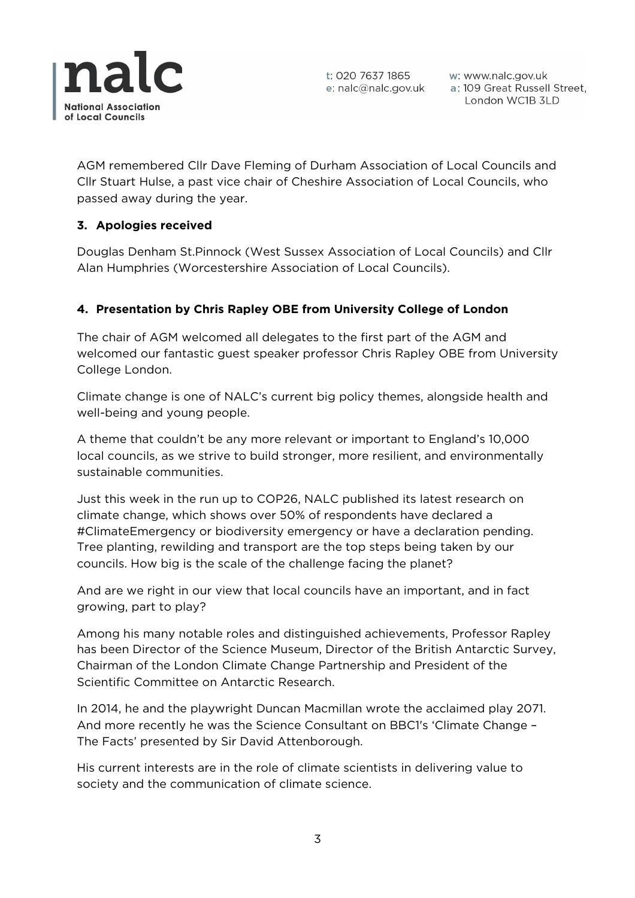

w: www.nalc.gov.uk a: 109 Great Russell Street, London WC1B 3LD

AGM remembered Cllr Dave Fleming of Durham Association of Local Councils and Cllr Stuart Hulse, a past vice chair of Cheshire Association of Local Councils, who passed away during the year.

# **3. Apologies received**

Douglas Denham St.Pinnock (West Sussex Association of Local Councils) and Cllr Alan Humphries (Worcestershire Association of Local Councils).

# **4. Presentation by Chris Rapley OBE from University College of London**

The chair of AGM welcomed all delegates to the first part of the AGM and welcomed our fantastic guest speaker professor Chris Rapley OBE from University College London.

Climate change is one of NALC's current big policy themes, alongside health and well-being and young people.

A theme that couldn't be any more relevant or important to England's 10,000 local councils, as we strive to build stronger, more resilient, and environmentally sustainable communities.

Just this week in the run up to COP26, NALC published its latest research on climate change, which shows over 50% of respondents have declared a #ClimateEmergency or biodiversity emergency or have a declaration pending. Tree planting, rewilding and transport are the top steps being taken by our councils. How big is the scale of the challenge facing the planet?

And are we right in our view that local councils have an important, and in fact growing, part to play?

Among his many notable roles and distinguished achievements, Professor Rapley has been Director of the Science Museum, Director of the British Antarctic Survey, Chairman of the London Climate Change Partnership and President of the Scientific Committee on Antarctic Research.

In 2014, he and the playwright Duncan Macmillan wrote the acclaimed play 2071. And more recently he was the Science Consultant on BBC1's 'Climate Change – The Facts' presented by Sir David Attenborough.

His current interests are in the role of climate scientists in delivering value to society and the communication of climate science.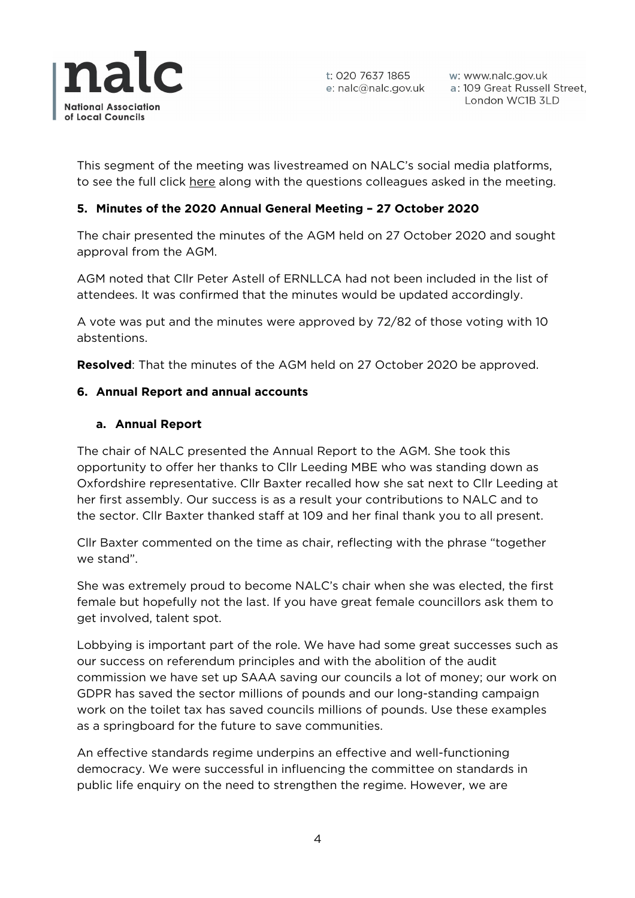

w: www.nalc.gov.uk a: 109 Great Russell Street, London WC1B 3LD

This segment of the meeting was livestreamed on NALC's social media platforms, to see the full click here along with the questions colleagues asked in the meeting.

# **5. Minutes of the 2020 Annual General Meeting – 27 October 2020**

The chair presented the minutes of the AGM held on 27 October 2020 and sought approval from the AGM.

AGM noted that Cllr Peter Astell of ERNLLCA had not been included in the list of attendees. It was confirmed that the minutes would be updated accordingly.

A vote was put and the minutes were approved by 72/82 of those voting with 10 abstentions.

**Resolved**: That the minutes of the AGM held on 27 October 2020 be approved.

### **6. Annual Report and annual accounts**

### **a. Annual Report**

The chair of NALC presented the Annual Report to the AGM. She took this opportunity to offer her thanks to Cllr Leeding MBE who was standing down as Oxfordshire representative. Cllr Baxter recalled how she sat next to Cllr Leeding at her first assembly. Our success is as a result your contributions to NALC and to the sector. Cllr Baxter thanked staff at 109 and her final thank you to all present.

Cllr Baxter commented on the time as chair, reflecting with the phrase "together we stand".

She was extremely proud to become NALC's chair when she was elected, the first female but hopefully not the last. If you have great female councillors ask them to get involved, talent spot.

Lobbying is important part of the role. We have had some great successes such as our success on referendum principles and with the abolition of the audit commission we have set up SAAA saving our councils a lot of money; our work on GDPR has saved the sector millions of pounds and our long-standing campaign work on the toilet tax has saved councils millions of pounds. Use these examples as a springboard for the future to save communities.

An effective standards regime underpins an effective and well-functioning democracy. We were successful in influencing the committee on standards in public life enquiry on the need to strengthen the regime. However, we are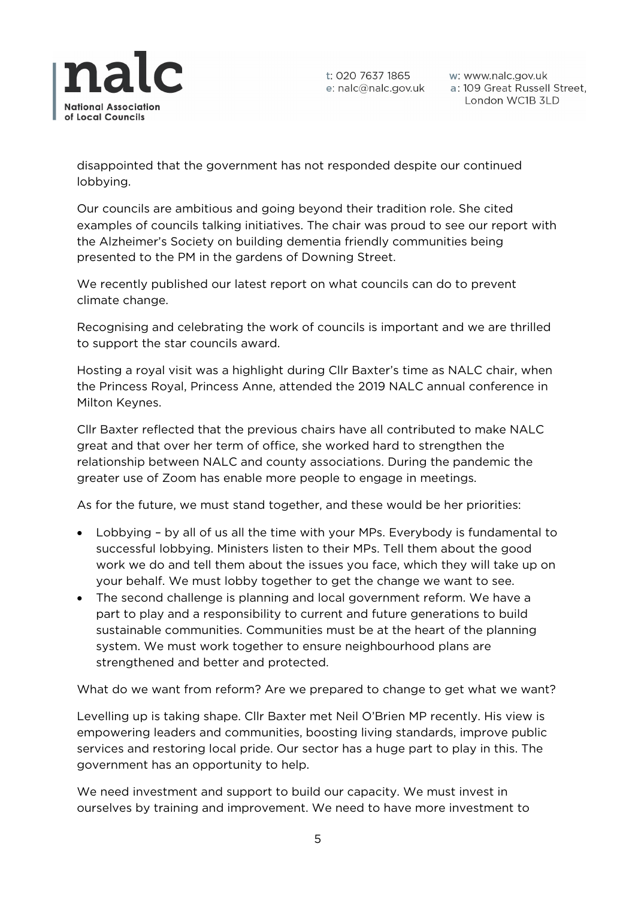

w: www.nalc.gov.uk a: 109 Great Russell Street, London WC1B 3LD

disappointed that the government has not responded despite our continued lobbying.

Our councils are ambitious and going beyond their tradition role. She cited examples of councils talking initiatives. The chair was proud to see our report with the Alzheimer's Society on building dementia friendly communities being presented to the PM in the gardens of Downing Street.

We recently published our latest report on what councils can do to prevent climate change.

Recognising and celebrating the work of councils is important and we are thrilled to support the star councils award.

Hosting a royal visit was a highlight during Cllr Baxter's time as NALC chair, when the Princess Royal, Princess Anne, attended the 2019 NALC annual conference in Milton Keynes.

Cllr Baxter reflected that the previous chairs have all contributed to make NALC great and that over her term of office, she worked hard to strengthen the relationship between NALC and county associations. During the pandemic the greater use of Zoom has enable more people to engage in meetings.

As for the future, we must stand together, and these would be her priorities:

- Lobbying by all of us all the time with your MPs. Everybody is fundamental to successful lobbying. Ministers listen to their MPs. Tell them about the good work we do and tell them about the issues you face, which they will take up on your behalf. We must lobby together to get the change we want to see.
- The second challenge is planning and local government reform. We have a part to play and a responsibility to current and future generations to build sustainable communities. Communities must be at the heart of the planning system. We must work together to ensure neighbourhood plans are strengthened and better and protected.

What do we want from reform? Are we prepared to change to get what we want?

Levelling up is taking shape. Cllr Baxter met Neil O'Brien MP recently. His view is empowering leaders and communities, boosting living standards, improve public services and restoring local pride. Our sector has a huge part to play in this. The government has an opportunity to help.

We need investment and support to build our capacity. We must invest in ourselves by training and improvement. We need to have more investment to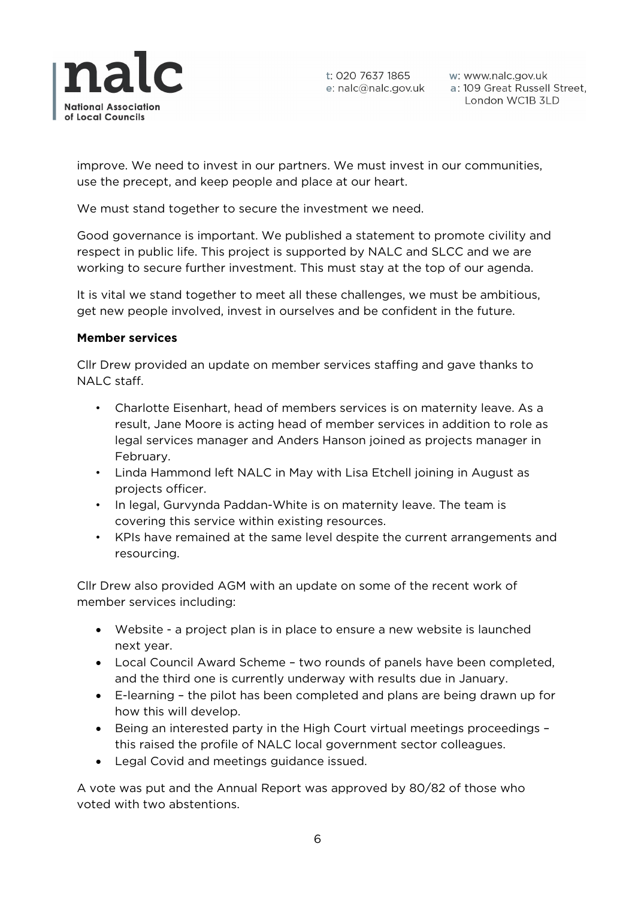

w: www.nalc.gov.uk a: 109 Great Russell Street, London WC1B 3LD

improve. We need to invest in our partners. We must invest in our communities, use the precept, and keep people and place at our heart.

We must stand together to secure the investment we need.

Good governance is important. We published a statement to promote civility and respect in public life. This project is supported by NALC and SLCC and we are working to secure further investment. This must stay at the top of our agenda.

It is vital we stand together to meet all these challenges, we must be ambitious, get new people involved, invest in ourselves and be confident in the future.

#### **Member services**

Cllr Drew provided an update on member services staffing and gave thanks to NALC staff.

- Charlotte Eisenhart, head of members services is on maternity leave. As a result, Jane Moore is acting head of member services in addition to role as legal services manager and Anders Hanson joined as projects manager in February.
- Linda Hammond left NALC in May with Lisa Etchell joining in August as projects officer.
- In legal, Gurvynda Paddan-White is on maternity leave. The team is covering this service within existing resources.
- KPIs have remained at the same level despite the current arrangements and resourcing.

Cllr Drew also provided AGM with an update on some of the recent work of member services including:

- Website a project plan is in place to ensure a new website is launched next year.
- Local Council Award Scheme two rounds of panels have been completed, and the third one is currently underway with results due in January.
- E-learning the pilot has been completed and plans are being drawn up for how this will develop.
- Being an interested party in the High Court virtual meetings proceedings this raised the profile of NALC local government sector colleagues.
- Legal Covid and meetings guidance issued.

A vote was put and the Annual Report was approved by 80/82 of those who voted with two abstentions.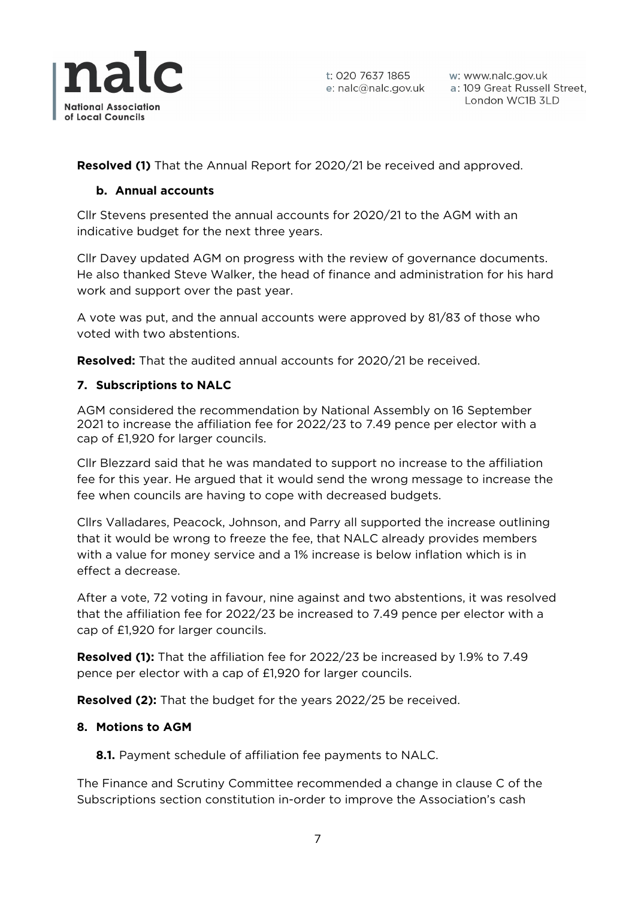

**Resolved (1)** That the Annual Report for 2020/21 be received and approved.

# **b. Annual accounts**

Cllr Stevens presented the annual accounts for 2020/21 to the AGM with an indicative budget for the next three years.

Cllr Davey updated AGM on progress with the review of governance documents. He also thanked Steve Walker, the head of finance and administration for his hard work and support over the past year.

A vote was put, and the annual accounts were approved by 81/83 of those who voted with two abstentions.

**Resolved:** That the audited annual accounts for 2020/21 be received.

# **7. Subscriptions to NALC**

AGM considered the recommendation by National Assembly on 16 September 2021 to increase the affiliation fee for 2022/23 to 7.49 pence per elector with a cap of £1,920 for larger councils.

Cllr Blezzard said that he was mandated to support no increase to the affiliation fee for this year. He argued that it would send the wrong message to increase the fee when councils are having to cope with decreased budgets.

Cllrs Valladares, Peacock, Johnson, and Parry all supported the increase outlining that it would be wrong to freeze the fee, that NALC already provides members with a value for money service and a 1% increase is below inflation which is in effect a decrease.

After a vote, 72 voting in favour, nine against and two abstentions, it was resolved that the affiliation fee for 2022/23 be increased to 7.49 pence per elector with a cap of £1,920 for larger councils.

**Resolved (1):** That the affiliation fee for 2022/23 be increased by 1.9% to 7.49 pence per elector with a cap of £1,920 for larger councils.

**Resolved (2):** That the budget for the years 2022/25 be received.

# **8. Motions to AGM**

**8.1.** Payment schedule of affiliation fee payments to NALC.

The Finance and Scrutiny Committee recommended a change in clause C of the Subscriptions section constitution in-order to improve the Association's cash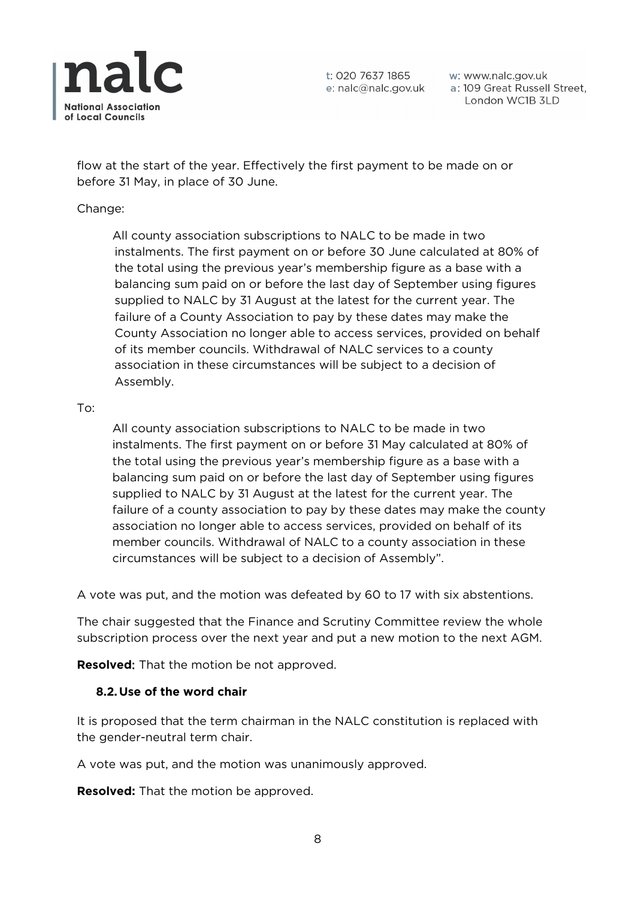

w: www.nalc.gov.uk a: 109 Great Russell Street, London WC1B 3LD

flow at the start of the year. Effectively the first payment to be made on or before 31 May, in place of 30 June.

### Change:

All county association subscriptions to NALC to be made in two instalments. The first payment on or before 30 June calculated at 80% of the total using the previous year's membership figure as a base with a balancing sum paid on or before the last day of September using figures supplied to NALC by 31 August at the latest for the current year. The failure of a County Association to pay by these dates may make the County Association no longer able to access services, provided on behalf of its member councils. Withdrawal of NALC services to a county association in these circumstances will be subject to a decision of Assembly.

#### To:

All county association subscriptions to NALC to be made in two instalments. The first payment on or before 31 May calculated at 80% of the total using the previous year's membership figure as a base with a balancing sum paid on or before the last day of September using figures supplied to NALC by 31 August at the latest for the current year. The failure of a county association to pay by these dates may make the county association no longer able to access services, provided on behalf of its member councils. Withdrawal of NALC to a county association in these circumstances will be subject to a decision of Assembly".

A vote was put, and the motion was defeated by 60 to 17 with six abstentions.

The chair suggested that the Finance and Scrutiny Committee review the whole subscription process over the next year and put a new motion to the next AGM.

**Resolved**: That the motion be not approved.

# **8.2.Use of the word chair**

It is proposed that the term chairman in the NALC constitution is replaced with the gender-neutral term chair.

A vote was put, and the motion was unanimously approved.

**Resolved:** That the motion be approved.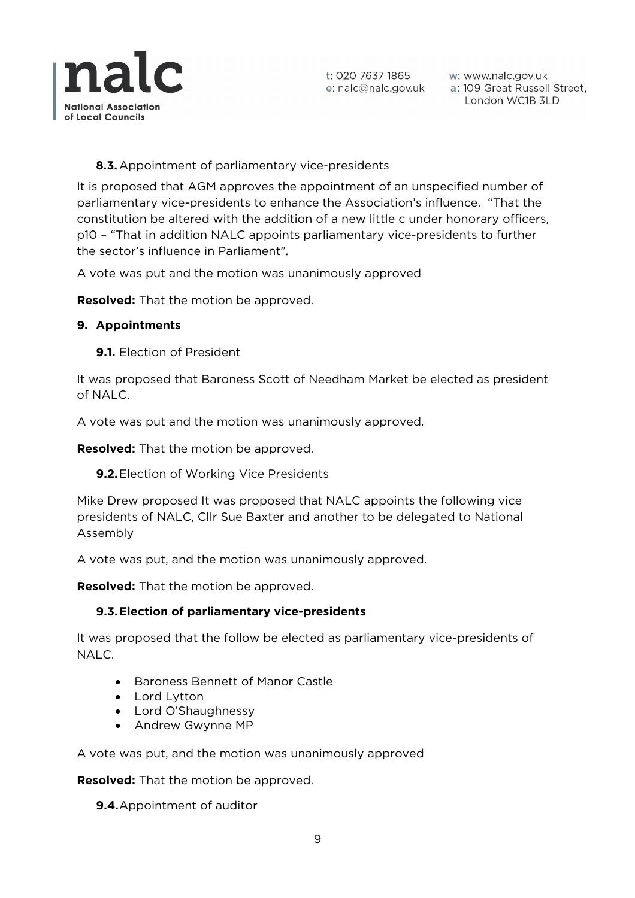

# **8.3.**Appointment of parliamentary vice-presidents

It is proposed that AGM approves the appointment of an unspecified number of parliamentary vice-presidents to enhance the Association's influence. "That the constitution be altered with the addition of a new little c under honorary officers, p10 – "That in addition NALC appoints parliamentary vice-presidents to further the sector's influence in Parliament"*.* 

A vote was put and the motion was unanimously approved

**Resolved:** That the motion be approved.

# **9. Appointments**

**9.1.** Election of President

It was proposed that Baroness Scott of Needham Market be elected as president of NALC.

A vote was put and the motion was unanimously approved.

**Resolved:** That the motion be approved.

**9.2.**Election of Working Vice Presidents

Mike Drew proposed It was proposed that NALC appoints the following vice presidents of NALC, Cllr Sue Baxter and another to be delegated to National Assembly

A vote was put, and the motion was unanimously approved.

**Resolved:** That the motion be approved.

# **9.3.Election of parliamentary vice-presidents**

It was proposed that the follow be elected as parliamentary vice-presidents of NALC.

- Baroness Bennett of Manor Castle
- Lord Lytton
- Lord O'Shaughnessy
- Andrew Gwynne MP

A vote was put, and the motion was unanimously approved

**Resolved:** That the motion be approved.

**9.4.**Appointment of auditor